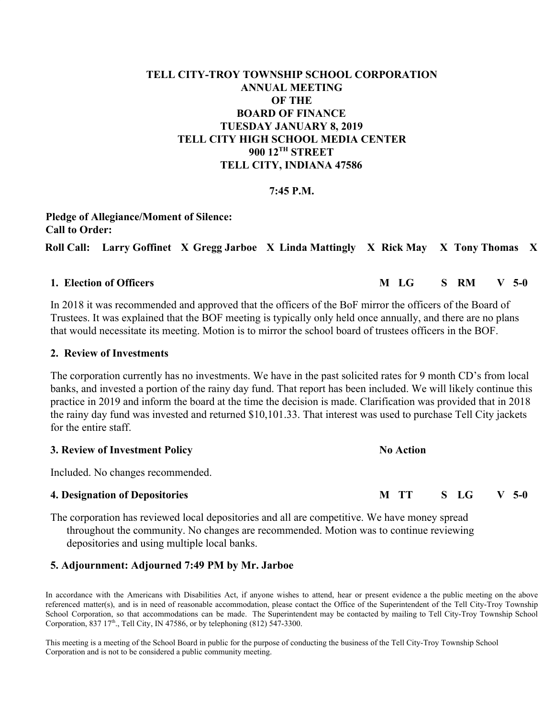# **TELL CITY-TROY TOWNSHIP SCHOOL CORPORATION ANNUAL MEETING OF THE BOARD OF FINANCE TUESDAY JANUARY 8, 2019 TELL CITY HIGH SCHOOL MEDIA CENTER 900 12TH STREET TELL CITY, INDIANA 47586**

## **7:45 P.M.**

**Pledge of Allegiance/Moment of Silence: Call to Order: Roll Call: Larry Goffinet X Gregg Jarboe X Linda Mattingly X Rick May X Tony Thomas X**

In 2018 it was recommended and approved that the officers of the BoF mirror the officers of the Board of Trustees. It was explained that the BOF meeting is typically only held once annually, and there are no plans that would necessitate its meeting. Motion is to mirror the school board of trustees officers in the BOF.

### **2. Review of Investments**

The corporation currently has no investments. We have in the past solicited rates for 9 month CD's from local banks, and invested a portion of the rainy day fund. That report has been included. We will likely continue this practice in 2019 and inform the board at the time the decision is made. Clarification was provided that in 2018 the rainy day fund was invested and returned \$10,101.33. That interest was used to purchase Tell City jackets for the entire staff.

## **3. Review of Investment Policy No Action**

Included. No changes recommended.

## **4. Designation of Depositories M TT S LG V 5-0**

The corporation has reviewed local depositories and all are competitive. We have money spread throughout the community. No changes are recommended. Motion was to continue reviewing depositories and using multiple local banks.

### **5. Adjournment: Adjourned 7:49 PM by Mr. Jarboe**

In accordance with the Americans with Disabilities Act, if anyone wishes to attend, hear or present evidence a the public meeting on the above referenced matter(s), and is in need of reasonable accommodation, please contact the Office of the Superintendent of the Tell City-Troy Township School Corporation, so that accommodations can be made. The Superintendent may be contacted by mailing to Tell City-Troy Township School Corporation, 837  $17<sup>th</sup>$ ., Tell City, IN 47586, or by telephoning (812) 547-3300.

This meeting is a meeting of the School Board in public for the purpose of conducting the business of the Tell City-Troy Township School Corporation and is not to be considered a public community meeting.

### **1. Election of Officers M LG S RM V 5-0**